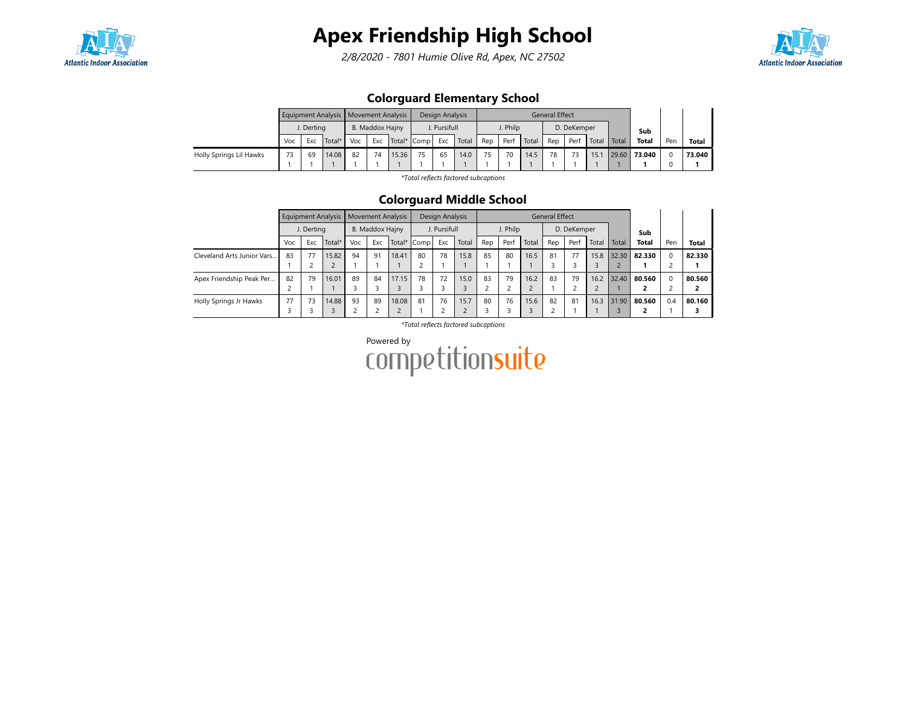

2/8/2020 - 7801 Humie Olive Rd, Apex, NC 27502



### Colorguard Elementary School

|                         |     |            | Equipment Analysis   Movement Analysis |     |                 |       |             | Design Analysis |       |     |          |       | General Effect |             |       |       |              |     |        |
|-------------------------|-----|------------|----------------------------------------|-----|-----------------|-------|-------------|-----------------|-------|-----|----------|-------|----------------|-------------|-------|-------|--------------|-----|--------|
|                         |     | J. Derting |                                        |     | B. Maddox Hajny |       |             | J. Pursifull    |       |     | J. Philp |       |                | D. DeKemper |       |       | Sub          |     |        |
|                         | Voc | Exc        | Total*                                 | Voc | Exc             |       | Total* Comp | Exc             | Total | Rep | Perf     | Total | Rep            | Perf        | Total | Total | <b>Total</b> | Pen | Total  |
| Holly Springs Lil Hawks | 73  | 69         | 14.08                                  | 82  | 74              | 15.36 |             | 65              | 14.0  | 75  | 70       | 14.5  | 78             |             | 15.1  | 29.60 | 73.040       |     | 73.040 |
|                         |     |            |                                        |     |                 |       |             |                 |       |     |          |       |                |             |       |       |              |     |        |

\*Total reflects factored subcaptions

#### Colorguard Middle School

|                            |     |            | <b>Equipment Analysis</b> |     | <b>Movement Analysis</b>              |       |    | Design Analysis |       |                          |          |        | <b>General Effect</b> |             |       |       |              |          |              |
|----------------------------|-----|------------|---------------------------|-----|---------------------------------------|-------|----|-----------------|-------|--------------------------|----------|--------|-----------------------|-------------|-------|-------|--------------|----------|--------------|
|                            |     | J. Derting |                           |     | B. Maddox Hajny<br>Exc<br>Total* Comp |       |    | J. Pursifull    |       |                          | J. Philp |        |                       | D. DeKemper |       |       | Sub          |          |              |
|                            | Voc | Exc        | Total*                    | Voc |                                       |       |    | Exc             | Total | Rep                      | Perf     | Total  | Rep                   | Perf        | Total | Total | <b>Total</b> | Pen      | <b>Total</b> |
| Cleveland Arts Junior Vars | 83  | 77         | 15.82                     | 94  | 91                                    | 18.41 | 80 | 78              | 15.8  | 85                       | 80       | 16.5   | 81                    | 77          | 15.8  | 32.30 | 82.330       | $\Omega$ | 82.330       |
|                            |     |            |                           |     |                                       |       |    |                 |       |                          |          |        |                       |             |       |       |              | ⊂        |              |
| Apex Friendship Peak Per   | 82  | 79         | 16.01                     | 89  | 84                                    | 17.15 | 78 | 72              | 15.0  | 83                       | 79       | 16.2   | 83                    | 79          | 16.2  | 32.40 | 80.560       | $\Omega$ | 80.560       |
|                            |     |            |                           |     |                                       |       |    |                 |       | $\overline{\phantom{0}}$ |          | $\sim$ |                       |             |       |       |              | ╭        | 2            |
| Holly Springs Jr Hawks     | 77  | 73         | 14.88                     | 93  | 89                                    | 18.08 | 81 | 76              | 15.7  | 80                       | 76       | 15.6   | 82                    | 81          | 16.3  | 31.90 | 80.560       | 0.4      | 80.160       |
|                            |     |            |                           |     | $\overline{\phantom{0}}$              |       |    |                 |       |                          |          |        |                       |             |       |       |              |          |              |

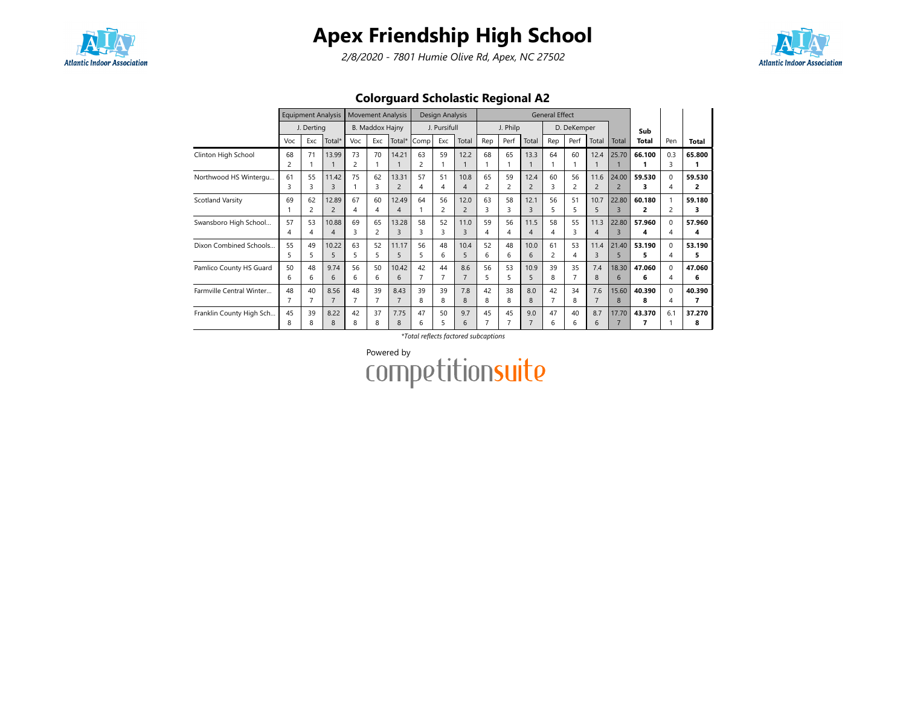

2/8/2020 - 7801 Humie Olive Rd, Apex, NC 27502



### Colorguard Scholastic Regional A2

|                          |     | <b>Equipment Analysis</b> |                |                | <b>Movement Analysis</b> |                          |                | Design Analysis |                |                |          |                | <b>General Effect</b> |                |                |                |        |                |        |
|--------------------------|-----|---------------------------|----------------|----------------|--------------------------|--------------------------|----------------|-----------------|----------------|----------------|----------|----------------|-----------------------|----------------|----------------|----------------|--------|----------------|--------|
|                          |     | J. Derting                |                |                | <b>B. Maddox Hajny</b>   |                          |                | J. Pursifull    |                |                | J. Philp |                |                       | D. DeKemper    |                |                | Sub    |                |        |
|                          | Voc | Exc                       | Total*         | Voc            | Exc                      | Total*                   | Comp           | Exc             | Total          | Rep            | Perf     | Total          | Rep                   | Perf           | Total          | Total          | Total  | Pen            | Total  |
| Clinton High School      | 68  | 71                        | 13.99          | 73             | 70                       | 14.21                    | 63             | 59              | 12.2           | 68             | 65       | 13.3           | 64                    | 60             | 12.4           | 25.70          | 66.100 | 0.3            | 65.800 |
|                          | 2   |                           |                | 2              |                          |                          | $\overline{c}$ |                 |                |                |          |                |                       |                |                |                |        | ς              |        |
| Northwood HS Wintergu    | 61  | 55                        | 11.42          | 75             | 62                       | 13.31                    | 57             | 51              | 10.8           | 65             | 59       | 12.4           | 60                    | 56             | 11.6           | 24.00          | 59.530 | $\Omega$       | 59.530 |
|                          | 3   | 3                         | 3              |                | 3                        | $\overline{2}$           | 4              | 4               | $\overline{4}$ | $\overline{2}$ | 2        | $\overline{c}$ | ς                     | $\overline{2}$ | $\overline{2}$ | $\overline{2}$ | 3      | 4              | 2      |
| Scotland Varsity         | 69  | 62                        | 12.89          | 67             | 60                       | 12.49                    | 64             | 56              | 12.0           | 63             | 58       | 12.1           | 56                    | 51             | 10.7           | 22.80          | 60.180 |                | 59.180 |
|                          |     | $\overline{c}$            | $\overline{2}$ | 4              | 4                        | $\boldsymbol{\varDelta}$ |                | 2               | $\overline{2}$ | 3              | 3        | 3              | 5                     | 5              | 5              | $\overline{3}$ | 2      | $\overline{c}$ | з      |
| Swansboro High School    | 57  | 53                        | 10.88          | 69             | 65                       | 13.28                    | 58             | 52              | 11.0           | 59             | 56       | 11.5           | 58                    | 55             | 11.3           | 22.80          | 57.960 | $\Omega$       | 57.960 |
|                          | 4   | 4                         | 4              | 3              | 2                        | $\overline{3}$           | 3              | 3               | 3              | 4              | 4        | $\overline{4}$ | 4                     | 3              | 4              | $\overline{3}$ | 4      | 4              | 4      |
| Dixon Combined Schools   | 55  | 49                        | 10.22          | 63             | 52                       | 11.17                    | 56             | 48              | 10.4           | 52             | 48       | 10.0           | 61                    | 53             | 11.4           | 21.40          | 53.190 | $\Omega$       | 53.190 |
|                          | 5.  | 5                         | 5              | 5              | 5                        | 5                        | 5.             | 6               | 5              | 6              | 6        | 6              | $\overline{c}$        | 4              | 3              | 5              | 5      | 4              | 5      |
| Pamlico County HS Guard  | 50  | 48                        | 9.74           | 56             | 50                       | 10.42                    | 42             | 44              | 8.6            | 56             | 53       | 10.9           | 39                    | 35             | 7.4            | 18.30          | 47.060 | $\Omega$       | 47.060 |
|                          | 6   | 6                         | 6              | 6              | 6                        | 6                        |                |                 | $\overline{7}$ | 5              | 5        | 5              | 8                     |                | 8              | 6              | 6      | 4              | 6      |
| Farmville Central Winter | 48  | 40                        | 8.56           | 48             | 39                       | 8.43                     | 39             | 39              | 7.8            | 42             | 38       | 8.0            | 42                    | 34             | 7.6            | 15.60          | 40.390 | $\Omega$       | 40.390 |
|                          |     |                           | $\overline{7}$ | $\overline{7}$ | 7                        | 7                        | 8              | 8               | 8              | 8              | 8        | 8              | 7                     | 8              | $\overline{7}$ | 8              | 8      | 4              | 7      |
| Franklin County High Sch | 45  | 39                        | 8.22           | 42             | 37                       | 7.75                     | 47             | 50              | 9.7            | 45             | 45       | 9.0            | 47                    | 40             | 8.7            | 17.70          | 43.370 | 6.1            | 37.270 |
|                          | 8   | 8                         | 8              | 8              | 8                        | 8                        | 6              | 5               | 6              | $\overline{7}$ |          |                | 6                     | 6              | 6              | $\overline{7}$ | 7      |                | 8      |

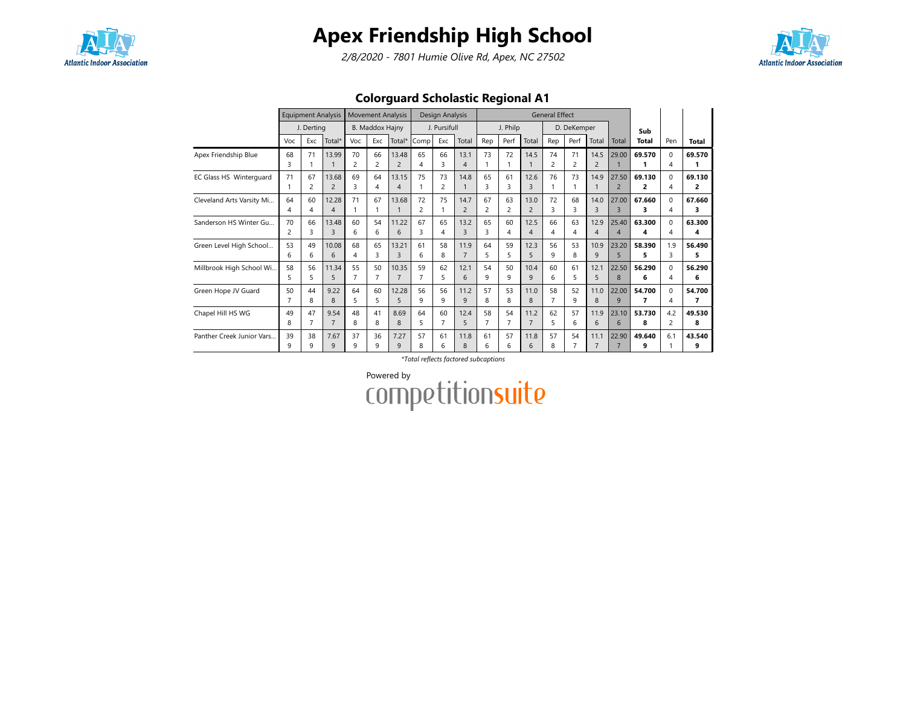

2/8/2020 - 7801 Humie Olive Rd, Apex, NC 27502



### Colorguard Scholastic Regional A1

|                           |         | <b>Equipment Analysis</b> |                         |                      | <b>Movement Analysis</b> |                                   |         | Design Analysis |                        |                      |          |                        | <b>General Effect</b> |             |                        |                         |              |                                     |             |
|---------------------------|---------|---------------------------|-------------------------|----------------------|--------------------------|-----------------------------------|---------|-----------------|------------------------|----------------------|----------|------------------------|-----------------------|-------------|------------------------|-------------------------|--------------|-------------------------------------|-------------|
|                           |         | J. Derting                |                         |                      | <b>B. Maddox Hajny</b>   |                                   |         | J. Pursifull    |                        |                      | J. Philp |                        |                       | D. DeKemper |                        |                         | Sub          |                                     |             |
|                           | Voc     | Exc                       | Total*                  | Voc                  | Exc                      | Total*                            | Comp    | Exc             | Total                  | Rep                  | Perf     | Total                  | Rep                   | Perf        | Total                  | Total                   | <b>Total</b> | Pen                                 | Total       |
| Apex Friendship Blue      | 68<br>3 | 71                        | 13.99                   | 70<br>2              | 66<br>$\overline{c}$     | 13.48<br>$\overline{2}$           | 65<br>4 | 66<br>3         | 13.1<br>4              | 73<br>1              | 72       | 14.5                   | 74<br>2               | 71<br>2     | 14.5<br>$\overline{c}$ | 29.00                   | 69.570       | $\Omega$<br>$\overline{4}$          | 69.570<br>1 |
| EC Glass HS Winterquard   | 71      | 67<br>2                   | 13.68<br>$\overline{2}$ | 69<br>3              | 64<br>$\overline{4}$     | 13.15<br>$\overline{\mathcal{A}}$ | 75      | 73<br>2         | 14.8                   | 65<br>3              | 61<br>3  | 12.6<br>3              | 76                    | 73          | 14.9                   | 27.50<br>$\overline{2}$ | 69.130<br>2  | $\Omega$<br>4                       | 69.130<br>2 |
| Cleveland Arts Varsity Mi | 64<br>4 | 60<br>4                   | 12.28<br>$\overline{4}$ | 71                   | 67<br>1                  | 13.68                             | 72<br>2 | 75              | 14.7<br>$\overline{2}$ | 67<br>$\overline{c}$ | 63<br>2  | 13.0<br>$\overline{c}$ | 72<br>ς               | 68<br>₹     | 14.0<br>3              | 27.00<br>$\overline{3}$ | 67.660<br>3  | $\Omega$<br>4                       | 67.660<br>з |
| Sanderson HS Winter Gu    | 70<br>2 | 66<br>3                   | 13.48<br>$\overline{3}$ | 60<br>6              | 54<br>6                  | 11.22<br>6                        | 67<br>3 | 65<br>4         | 13.2<br>3              | 65<br>3              | 60<br>4  | 12.5<br>$\overline{4}$ | 66<br>Δ               | 63<br>4     | 12.9<br>$\overline{4}$ | 25.40<br>$\overline{4}$ | 63.300<br>4  | $\Omega$<br>Δ                       | 63.300<br>4 |
| Green Level High School   | 53<br>6 | 49<br>6                   | 10.08<br>6              | 68<br>4              | 65<br>3                  | 13.21<br>$\overline{3}$           | 61<br>6 | 58<br>8         | 11.9<br>$\overline{7}$ | 64<br>5              | 59<br>5  | 12.3<br>5              | 56<br>q               | 53<br>8     | 10.9<br>9              | 23.20<br>5              | 58.390<br>5  | 1.9<br>κ                            | 56.490<br>5 |
| Millbrook High School Wi  | 58<br>5 | 56<br>5                   | 11.34<br>5              | 55<br>$\overline{7}$ | 50<br>$\overline{7}$     | 10.35<br>$\overline{7}$           | 59      | 62<br>5         | 12.1<br>6              | 54<br>9              | 50<br>9  | 10.4<br>$\mathsf{Q}$   | 60<br>6               | 61<br>5     | 12.1<br>5              | 22.50<br>8              | 56.290<br>6  | $\Omega$<br>4                       | 56.290<br>6 |
| Green Hope JV Guard       | 50<br>7 | 44<br>8                   | 9.22<br>8               | 64<br>5              | 60<br>5                  | 12.28<br>5                        | 56<br>9 | 56<br>9         | 11.2<br>9              | 57<br>8              | 53<br>8  | 11.0<br>8              | 58                    | 52<br>9     | 11.0<br>8              | 22.00<br>9              | 54.700<br>7  | $\Omega$<br>$\overline{\mathbf{A}}$ | 54.700<br>7 |
| Chapel Hill HS WG         | 49<br>8 | 47<br>7                   | 9.54<br>$\overline{7}$  | 48<br>8              | 41<br>8                  | 8.69<br>8                         | 64<br>5 | 60<br>7         | 12.4<br>5              | 58<br>$\overline{7}$ | 54       | 11.2<br>$\overline{7}$ | 62<br>5               | 57<br>6     | 11.9<br>6              | 23.10<br>6              | 53.730<br>8  | 4.2<br>$\overline{c}$               | 49.530<br>8 |
| Panther Creek Junior Vars | 39<br>9 | 38<br>q                   | 7.67<br>9               | 37<br>9              | 36<br>9                  | 7.27<br>$\mathsf{Q}$              | 57<br>8 | 61<br>6         | 11.8<br>8              | 61<br>6              | 57<br>6  | 11.8<br>6              | 57<br>8               | 54          | 11.1<br>7              | 22.90<br>7              | 49.640<br>9  | 6.1                                 | 43.540<br>9 |

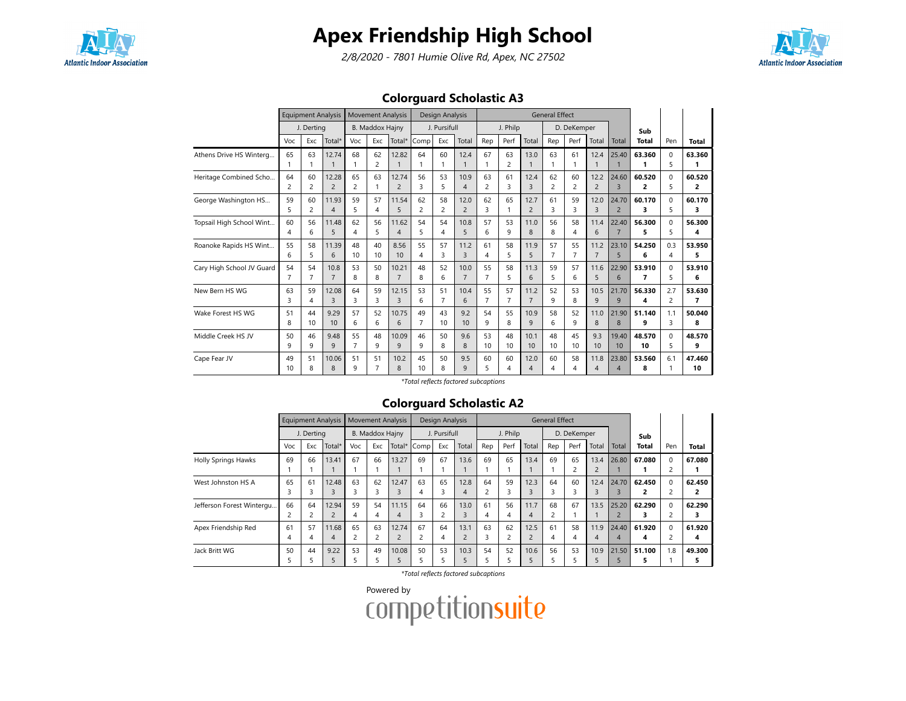

2/8/2020 - 7801 Humie Olive Rd, Apex, NC 27502



### Colorguard Scholastic A3

|                           |          | <b>Equipment Analysis</b> |                       |                | <b>Movement Analysis</b> |                          |                | Design Analysis |                      |                |                      |                                  | <b>General Effect</b> |                |                        |                                   |                |               |              |
|---------------------------|----------|---------------------------|-----------------------|----------------|--------------------------|--------------------------|----------------|-----------------|----------------------|----------------|----------------------|----------------------------------|-----------------------|----------------|------------------------|-----------------------------------|----------------|---------------|--------------|
|                           |          | J. Dertina                |                       |                | <b>B. Maddox Hajny</b>   |                          |                | J. Pursifull    |                      |                | J. Philp             |                                  |                       | D. DeKemper    |                        |                                   | Sub            |               |              |
|                           | Voc      | Exc                       | Total*                | Voc            | Exc                      | Total*                   | Comp           | Exc             | Total                | Rep            | Perf                 | Total                            | Rep                   | Perf           | Total                  | Total                             | Total          | Pen           | Total        |
| Athens Drive HS Winterg   | 65<br>1  | 63                        | 12.74<br>$\mathbf{1}$ | 68<br>1        | 62<br>2                  | 12.82                    | 64             | 60<br>1         | 12.4<br>$\mathbf{1}$ | 67<br>1        | 63<br>$\overline{c}$ | 13.0<br>$\mathbf{1}$             | 63                    | 61             | 12.4<br>1              | 25.40                             | 63.360<br>1    | $\Omega$<br>5 | 63.360<br>1  |
| Heritage Combined Scho    | 64       | 60                        | 12.28                 | 65             | 63                       | 12.74                    | 56             | 53              | 10.9                 | 63             | 61                   | 12.4                             | 62                    | 60             | 12.2                   | 24.60                             | 60.520         | $\Omega$      | 60.520       |
|                           | 2        | $\overline{2}$            | $\overline{2}$        | $\overline{2}$ | 1                        | $\overline{2}$           | 3              | 5               | $\overline{4}$       | $\overline{c}$ | 3                    | $\overline{3}$                   | $\overline{2}$        | $\overline{2}$ | $\overline{2}$         | $\overline{3}$                    | 2              | 5             | 2            |
| George Washington HS      | 59       | 60                        | 11.93                 | 59             | 57                       | 11.54                    | 62             | 58              | 12.0                 | 62             | 65                   | 12.7                             | 61                    | 59             | 12.0                   | 24.70                             | 60.170         | $\Omega$      | 60.170       |
|                           | 5        | $\overline{c}$            | $\overline{4}$        | 5              | $\overline{4}$           | 5                        | $\overline{c}$ | 2               | $\overline{2}$       | 3              | $\mathbf{1}$         | $\overline{2}$                   | 3                     | 3              | 3                      | $\overline{2}$                    | 3              | 5             | 3            |
| Topsail High School Wint  | 60       | 56                        | 11.48                 | 62             | 56                       | 11.62                    | 54             | 54              | 10.8                 | 57             | 53                   | 11.0                             | 56                    | 58             | 11.4                   | 22.40                             | 56.300         | $\Omega$      | 56.300       |
|                           | 4        | 6                         | 5                     | 4              | 5                        | $\boldsymbol{\varDelta}$ | 5              | 4               | 5                    | 6              | 9                    | 8                                | 8                     | 4              | 6                      | $\overline{7}$                    | 5              | 5             | 4            |
| Roanoke Rapids HS Wint    | 55       | 58                        | 11.39                 | 48             | 40                       | 8.56                     | 55             | 57              | 11.2                 | 61             | 58                   | 11.9                             | 57                    | 55             | 11.2                   | 23.10                             | 54.250         | 0.3           | 53.950       |
|                           | 6        | 5.                        | 6                     | 10             | 10                       | 10                       | 4              | 3               | $\overline{3}$       | 4              | 5                    | 5                                | $\overline{7}$        | $\overline{7}$ | $\overline{7}$         | 5                                 | 6              | Δ             | 5            |
| Cary High School JV Guard | 54       | 54                        | 10.8                  | 53             | 50                       | 10.21                    | 48             | 52              | 10.0                 | 55             | 58                   | 11.3                             | 59                    | 57             | 11.6                   | 22.90                             | 53.910         | $\Omega$      | 53.910       |
|                           | 7        | 7                         | $\overline{7}$        | 8              | 8                        | $\overline{7}$           | 8              | 6               | $\overline{7}$       | $\overline{7}$ | 5                    | 6                                | 5                     | 6              | 5                      | 6                                 | $\overline{7}$ | 5             | 6            |
| New Bern HS WG            | 63       | 59                        | 12.08                 | 64             | 59                       | 12.15                    | 53             | 51              | 10.4                 | 55             | 57                   | 11.2                             | 52                    | 53             | 10.5                   | 21.70                             | 56.330         | 2.7           | 53.630       |
|                           | 3        | 4                         | $\overline{3}$        | 3              | 3                        | $\overline{3}$           | 6              | 7               | 6                    | $\overline{7}$ | $\overline{7}$       | $\overline{7}$                   | 9                     | 8              | 9                      | 9                                 | 4              | 2             | 7            |
| Wake Forest HS WG         | 51       | 44                        | 9.29                  | 57             | 52                       | 10.75                    | 49             | 43              | 9.2                  | 54             | 55                   | 10.9                             | 58                    | 52             | 11.0                   | 21.90                             | 51.140         | 1.1           | 50.040       |
|                           | 8        | 10                        | 10                    | 6              | 6                        | 6                        | $\overline{7}$ | 10              | 10                   | 9              | 8                    | $\mathsf{q}$                     | 6                     | 9              | 8                      | 8                                 | 9              | 3             | 8            |
| Middle Creek HS JV        | 50       | 46                        | 9.48                  | 55             | 48                       | 10.09                    | 46             | 50              | 9.6                  | 53             | 48                   | 10.1                             | 48                    | 45             | 9.3                    | 19.40                             | 48.570         | $\Omega$      | 48.570       |
|                           | 9        | 9                         | 9                     | $\overline{7}$ | 9                        | 9                        | 9              | 8               | 8                    | 10             | 10                   | 10                               | 10                    | 10             | 10                     | 10                                | 10             | 5             | 9            |
| Cape Fear JV              | 49<br>10 | 51<br>8                   | 10.06<br>8            | 51<br>q        | 51<br>$\overline{7}$     | 10.2<br>$\mathsf{R}$     | 45<br>10       | 50<br>8         | 9.5<br>$\mathsf{Q}$  | 60<br>5        | 60<br>4              | 12.0<br>$\overline{\mathcal{A}}$ | 60<br>4               | 58<br>4        | 11.8<br>$\overline{4}$ | 23.80<br>$\overline{\mathcal{A}}$ | 53.560<br>8    | 6.1           | 47.460<br>10 |

\*Total reflects factored subcaptions

#### Colorguard Scholastic A2

|                            |         |            | <b>Equipment Analysis</b> |         |                        | <b>Movement Analysis</b> |         | Design Analysis      |                        |                      |          |           | <b>General Effect</b> |             |                        |            |              |                            |              |
|----------------------------|---------|------------|---------------------------|---------|------------------------|--------------------------|---------|----------------------|------------------------|----------------------|----------|-----------|-----------------------|-------------|------------------------|------------|--------------|----------------------------|--------------|
|                            |         | J. Derting |                           |         | <b>B. Maddox Hajny</b> |                          |         | J. Pursifull         |                        |                      | J. Philp |           |                       | D. DeKemper |                        |            | Sub          |                            |              |
|                            | Voc     | Exc        | Total*                    | Voc     | Exc                    | Total*                   | Comp    | Exc                  | Total                  | Rep                  | Perf     | Total     | Rep                   | Perf        | Total                  | Total      | <b>Total</b> | Pen                        | <b>Total</b> |
| <b>Holly Springs Hawks</b> | 69      | 66         | 13.41                     | 67      | 66                     | 13.27                    | 69      | 67                   | 13.6                   | 69                   | 65       | 13.4      | 69                    | 65<br>2     | 13.4<br>$\overline{2}$ | 26.80      | 67.080       | $\Omega$<br>2              | 67.080       |
| West Johnston HS A         | 65<br>3 | 61<br>3    | 12.48<br>3                | 63<br>ς | 62<br>3                | 12.47                    | 63<br>4 | 65<br>3              | 12.8<br>4              | 64<br>$\overline{c}$ | 59<br>3  | 12.3      | 64<br>3               | 60<br>3     | 12.4<br>3              | 24.70      | 62.450       | $\Omega$<br>2              | 62.450<br>2  |
| Jefferson Forest Wintergu  | 66<br>2 | 64<br>∍    | 12.94<br>$\overline{2}$   | 59<br>4 | 54<br>4                | 11.15<br>4               | 64<br>3 | 66<br>2              | 13.0                   | 61<br>4              | 56<br>4  | 11.7<br>4 | 68<br>2               | 67          | 13.5                   | 25.20      | 62.290       | $\Omega$<br>2              | 62.290       |
| Apex Friendship Red        | 61<br>4 | 57<br>4    | 11.68<br>$\overline{4}$   | 65      | 63<br>$\overline{2}$   | 12.74<br>$\overline{2}$  | 67<br>2 | 64<br>$\overline{4}$ | 13.1<br>$\overline{2}$ | 63<br>3              | 62<br>2  | 12.5      | 61<br>4               | 58<br>4     | 11.9<br>4              | 24.40<br>4 | 61.920<br>4  | $\Omega$<br>$\overline{c}$ | 61.920<br>4  |
| Jack Britt WG              | 50<br>∍ | 44         | 9.22<br>5                 | 53      | 49                     | 10.08                    | 50      | 53<br>b              | 10.3                   | 54<br>ב              | 52       | 10.6      | 56<br>ב               | 53          | 10.9<br>5              | 21.50      | 51.100<br>э  | 1.8                        | 49.300<br>5  |

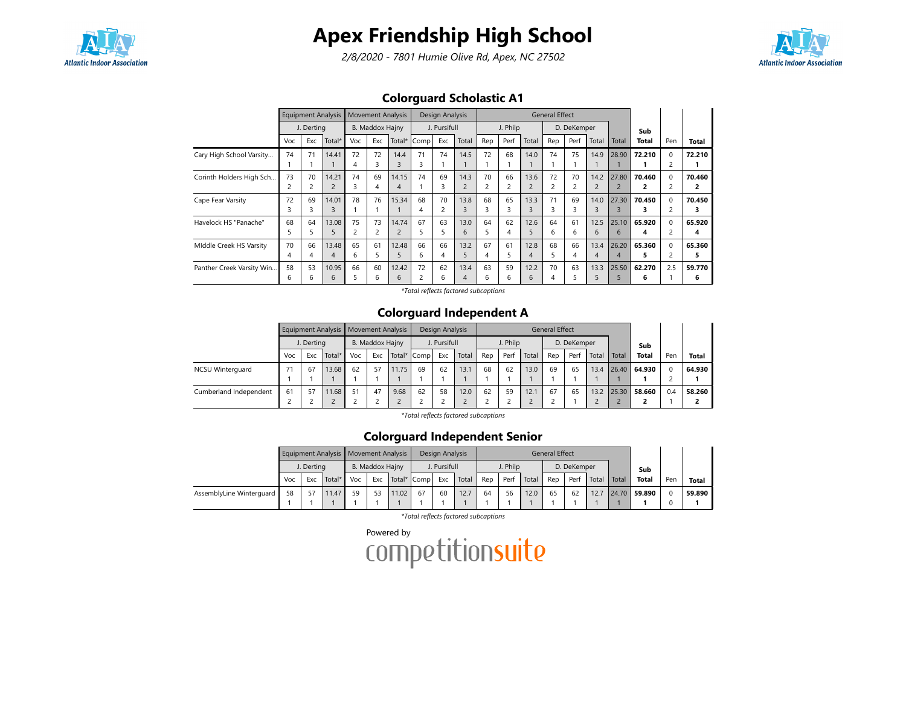

2/8/2020 - 7801 Humie Olive Rd, Apex, NC 27502



### Colorguard Scholastic A1

|                           |     | <b>Equipment Analysis</b> |                |     | <b>Movement Analysis</b> |                         |      | Design Analysis |                          |     |                |                         | <b>General Effect</b> |             |       |       |        |                         |        |
|---------------------------|-----|---------------------------|----------------|-----|--------------------------|-------------------------|------|-----------------|--------------------------|-----|----------------|-------------------------|-----------------------|-------------|-------|-------|--------|-------------------------|--------|
|                           |     | J. Derting                |                |     | B. Maddox Hajny          |                         |      | J. Pursifull    |                          |     | J. Philp       |                         |                       | D. DeKemper |       |       | Sub    |                         |        |
|                           | Voc | Exc                       | Total*         | Voc | Exc                      | Total*                  | Comp | Exc             | Total                    | Rep | Perf           | Total                   | Rep                   | Perf        | Total | Total | Total  | Pen                     | Total  |
| Cary High School Varsity  | 74  | 71                        | 14.41          | 72  | 72                       | 14.4                    | 71   | 74              | 14.5                     | 72  | 68             | 14.0                    | 74                    | 75          | 14.9  | 28.90 | 72.210 | $\Omega$                | 72.210 |
|                           |     |                           |                | 4   | 3                        | $\overline{\mathbf{3}}$ | 3    |                 |                          |     |                |                         |                       |             |       |       |        | $\overline{c}$          |        |
| Corinth Holders High Sch  | 73  | 70                        | 14.21          | 74  | 69                       | 14.15                   | 74   | 69              | 14.3                     | 70  | 66             | 13.6                    | 72                    | 70          | 14.2  | 27.80 | 70.460 | $\Omega$                | 70.460 |
|                           |     | 2                         | $\overline{2}$ | 3   | 4                        | 4                       |      |                 | $\overline{2}$           | 2   | $\overline{c}$ | $\overline{\mathbf{c}}$ |                       |             | 2     |       | 2      | $\overline{c}$          | 2      |
| Cape Fear Varsity         | 72  | 69                        | 14.01          | 78  | 76                       | 15.34                   | 68   | 70              | 13.8                     | 68  | 65             | 13.3                    | 71                    | 69          | 14.0  | 27.30 | 70.450 | $\Omega$                | 70.450 |
|                           |     | 3                         | 3              |     |                          |                         |      |                 | 3                        | 3   |                | 3                       |                       |             | 3     | 3     |        | $\overline{\mathbf{c}}$ | з      |
| Havelock HS "Panache"     | 68  | 64                        | 13.08          | 75  | 73                       | 14.74                   | 67   | 63              | 13.0                     | 64  | 62             | 12.6                    | 64                    | 61          | 12.5  | 25.10 | 65.920 | $\Omega$                | 65.920 |
|                           |     |                           | 5              |     | 2                        |                         |      | 5               | 6                        | 5   | 4              | 5                       | 6                     | 6           | 6     | 6     | 4      |                         | 4      |
| Middle Creek HS Varsity   | 70  | 66                        | 13.48          | 65  | 61                       | 12.48                   | 66   | 66              | 13.2                     | 67  | 61             | 12.8                    | 68                    | 66          | 13.4  | 26.20 | 65.360 | $\Omega$                | 65.360 |
|                           |     | 4                         | 4              | 6   | 5                        |                         | 6    | 4               | $\mathcal{L}$            | 4   | 5              | 4                       |                       | 4           | 4     | 4     | э.     |                         | 5      |
| Panther Creek Varsity Win | 58  | 53                        | 10.95          | 66  | 60                       | 12.42                   | 72   | 62              | 13.4                     | 63  | 59             | 12.2                    | 70                    | 63          | 13.3  | 25.50 | 62.270 | 2.5                     | 59.770 |
|                           | 6   | h                         | 6              | 5   | 6                        | 6                       |      | 6               | $\boldsymbol{\varDelta}$ | 6   | 6              | 6                       | 4                     |             |       |       | 6      |                         | 6      |

\*Total reflects factored subcaptions

#### Colorguard Independent A

|                         |     |            |        | Equipment Analysis   Movement Analysis |                 |             |    | Design Analysis |       |     |          |       | <b>General Effect</b> |             |       |       |              |     |        |
|-------------------------|-----|------------|--------|----------------------------------------|-----------------|-------------|----|-----------------|-------|-----|----------|-------|-----------------------|-------------|-------|-------|--------------|-----|--------|
|                         |     | J. Derting |        |                                        | B. Maddox Hajny |             |    | J. Pursifull    |       |     | J. Philp |       |                       | D. DeKemper |       |       | Sub          |     |        |
|                         | Voc | Exc        | Total* | Voc                                    | Exc             | Total* Comp |    | Exc             | Total | Rep | Perf     | Total | Rep                   | Perf        | Total | Total | <b>Total</b> | Pen | Total  |
| <b>NCSU Winterquard</b> | 71  | 67         | 13.68  | 62                                     | 57              | 11.75       | 69 | 62              | 13.1  | 68  | 62       | 13.0  | 69                    | 65          | 13.4  | 26.40 | 64.930       |     | 64.930 |
|                         |     |            |        |                                        |                 |             |    |                 |       |     |          |       |                       |             |       |       |              |     |        |
| Cumberland Independent  | 61  | 57         | 11.68  | 51                                     | 47              | 9.68        | 62 | 58              | 12.0  | 62  | 59       | 12.1  | 67                    | 65          | 13.2  | 25.30 | 58.660       | 0.4 | 58.260 |
|                         |     |            |        |                                        |                 |             |    |                 |       |     |          |       |                       |             |       |       |              |     |        |

\*Total reflects factored subcaptions

### Colorguard Independent Senior

|                          |     |            | Equipment Analysis   Movement Analysis |     |                 |             |    | Design Analysis |       |     |          |       | General Effect |             |       |       |              |          |              |
|--------------------------|-----|------------|----------------------------------------|-----|-----------------|-------------|----|-----------------|-------|-----|----------|-------|----------------|-------------|-------|-------|--------------|----------|--------------|
|                          |     | J. Dertina |                                        |     | B. Maddox Hajny |             |    | J. Pursifull    |       |     | J. Philp |       |                | D. DeKemper |       |       | Sub          |          |              |
|                          | Voc | Exc        | Total*                                 | Voc | Exc             | Total* Comp |    | Exc             | Total | Rep | Perf     | Total | Rep            | Perf        | Total | Total | <b>Total</b> | Pen      | <b>Total</b> |
| AssemblyLine Winterquard | 58  |            | 11.47                                  | 59  | 53              | 11.02       | 67 | 60              | 12.7  | 64  | 56       | 12.0  | 65             | 62          | 12.7  | 24.70 | 59.890       | $\Omega$ | 59.890       |
|                          |     |            |                                        |     |                 |             |    |                 |       |     |          |       |                |             |       |       |              | м.       |              |

\*Total reflects factored subcaptions

Powered by<br>COMPetitionsuite